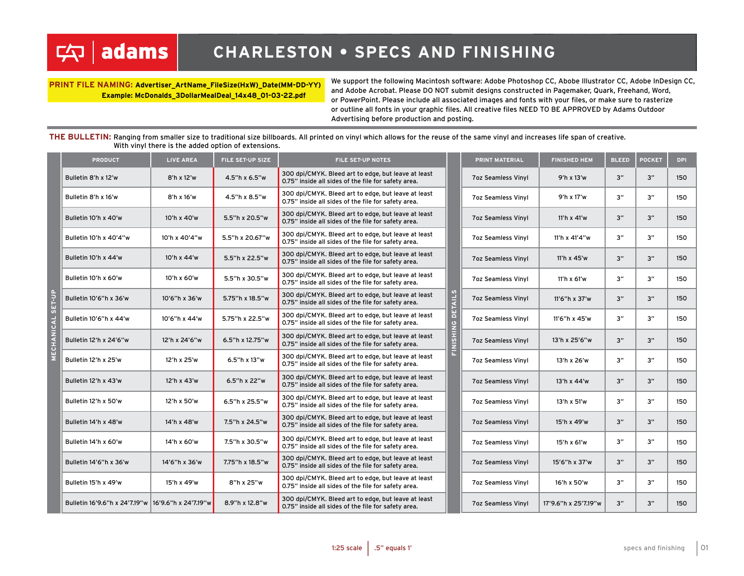### **adams** 中

**PRINT FILE NAMING: Advertiser\_ArtName\_FileSize(HxW)\_Date(MM-DD-YY) Example: McDonalds\_3DollarMealDeal\_14x48\_01-03-22.pdf**

We support the following Macintosh software: Adobe Photoshop CC, Abobe Illustrator CC, Adobe InDesign CC, and Adobe Acrobat. Please DO NOT submit designs constructed in Pagemaker, Quark, Freehand, Word, or PowerPoint. Please include all associated images and fonts with your files, or make sure to rasterize or outline all fonts in your graphic files. All creative files NEED TO BE APPROVED by Adams Outdoor Advertising before production and posting.

**THE BULLETIN:** Ranging from smaller size to traditional size billboards. All printed on vinyl which allows for the reuse of the same vinyl and increases life span of creative. With vinyl there is the added option of extensions.

| <b>PRODUCT</b>         | <b>LIVE AREA</b>                                   | FILE SET-UP SIZE | <b>FILE SET-UP NOTES</b>                                                                                   |                   | PRINT MATERIAL            | <b>FINISHED HEM</b>  | <b>BLEED</b> | <b>POCKET</b> | <b>DPI</b> |
|------------------------|----------------------------------------------------|------------------|------------------------------------------------------------------------------------------------------------|-------------------|---------------------------|----------------------|--------------|---------------|------------|
| Bulletin 8'h x 12'w    | 8'h x 12'w                                         | 4.5"h x 6.5"w    | 300 dpi/CMYK. Bleed art to edge, but leave at least<br>0.75" inside all sides of the file for safety area. |                   | <b>7oz Seamless Vinyl</b> | 9'h x 13'w           | 3"           | 3"            | 150        |
| Bulletin 8'h x 16'w    | 8'h x 16'w                                         | 4.5"h x 8.5"w    | 300 dpi/CMYK. Bleed art to edge, but leave at least<br>0.75" inside all sides of the file for safety area. |                   | <b>7oz Seamless Vinyl</b> | 9'h x 17'w           | 3"           | 3"            | 150        |
| Bulletin 10'h x 40'w   | 10'h x 40'w                                        | 5.5"h x 20.5"w   | 300 dpi/CMYK. Bleed art to edge, but leave at least<br>0.75" inside all sides of the file for safety area. |                   | <b>7oz Seamless Vinyl</b> | 11'h x 41'w          | 3"           | 3"            | 150        |
| Bulletin 10'h x 40'4"w | 10'h x 40'4"w                                      | 5.5"h x 20.67"w  | 300 dpi/CMYK. Bleed art to edge, but leave at least<br>0.75" inside all sides of the file for safety area. |                   | <b>7oz Seamless Vinyl</b> | 11'h x 41'4"w        | 3"           | 3"            | 150        |
| Bulletin 10'h x 44'w   | 10'h x 44'w                                        | 5.5"h x 22.5"w   | 300 dpi/CMYK. Bleed art to edge, but leave at least<br>0.75" inside all sides of the file for safety area. |                   | <b>7oz Seamless Vinyl</b> | 11'h x 45'w          | 3"           | 3"            | 150        |
| Bulletin 10'h x 60'w   | 10'h x 60'w                                        | 5.5"h x 30.5"w   | 300 dpi/CMYK. Bleed art to edge, but leave at least<br>0.75" inside all sides of the file for safety area. |                   | <b>7oz Seamless Vinyl</b> | 11'h x 61'w          | 3"           | 3"            | 150        |
| Bulletin 10'6"h x 36'w | 10'6"h x 36'w                                      | 5.75"h x 18.5"w  | 300 dpi/CMYK. Bleed art to edge, but leave at least<br>0.75" inside all sides of the file for safety area. |                   | <b>7oz Seamless Vinyl</b> | 11'6"h x 37'w        | 3"           | 3"            | 150        |
| Bulletin 10'6"h x 44'w | 10'6"h x 44'w                                      | 5.75"h x 22.5"w  | 300 dpi/CMYK. Bleed art to edge, but leave at least<br>0.75" inside all sides of the file for safety area. | FINISHING DETAILS | <b>7oz Seamless Vinyl</b> | 11'6"h x 45'w        | 3"           | 3"            | 150        |
| Bulletin 12'h x 24'6"w | 12'h x 24'6"w                                      | 6.5"h x 12.75"w  | 300 dpi/CMYK. Bleed art to edge, but leave at least<br>0.75" inside all sides of the file for safety area. |                   | <b>7oz Seamless Vinyl</b> | 13'h x 25'6"w        | 3"           | 3"            | 150        |
| Bulletin 12'h x 25'w   | 12'h x 25'w                                        | 6.5"h x 13"w     | 300 dpi/CMYK. Bleed art to edge, but leave at least<br>0.75" inside all sides of the file for safety area. |                   | <b>7oz Seamless Vinyl</b> | 13'h x 26'w          | 3"           | 3"            | 150        |
| Bulletin 12'h x 43'w   | 12'h x 43'w                                        | 6.5"h x 22"w     | 300 dpi/CMYK. Bleed art to edge, but leave at least<br>0.75" inside all sides of the file for safety area. |                   | <b>7oz Seamless Vinyl</b> | 13'h x 44'w          | 3"           | 3"            | 150        |
| Bulletin 12'h x 50'w   | 12'h x 50'w                                        | 6.5"h x 25.5"w   | 300 dpi/CMYK. Bleed art to edge, but leave at least<br>0.75" inside all sides of the file for safety area. |                   | <b>7oz Seamless Vinyl</b> | 13'h x 51'w          | 3"           | 3"            | 150        |
| Bulletin 14'h x 48'w   | 14'h x 48'w                                        | 7.5"h x 24.5"w   | 300 dpi/CMYK. Bleed art to edge, but leave at least<br>0.75" inside all sides of the file for safety area. |                   | <b>7oz Seamless Vinyl</b> | 15'h x 49'w          | 3"           | 3"            | 150        |
| Bulletin 14'h x 60'w   | 14'h x 60'w                                        | 7.5"h x 30.5"w   | 300 dpi/CMYK. Bleed art to edge, but leave at least<br>0.75" inside all sides of the file for safety area. |                   | <b>7oz Seamless Vinvl</b> | 15'h x 61'w          | 3"           | 3"            | 150        |
| Bulletin 14'6"h x 36'w | 14'6"h x 36'w                                      | 7.75"h x 18.5"w  | 300 dpi/CMYK. Bleed art to edge, but leave at least<br>0.75" inside all sides of the file for safety area. |                   | <b>7oz Seamless Vinyl</b> | 15'6"h x 37'w        | 3"           | 3"            | 150        |
| Bulletin 15'h x 49'w   | 15'h x 49'w                                        | 8"h x 25"w       | 300 dpi/CMYK. Bleed art to edge, but leave at least<br>0.75" inside all sides of the file for safety area. |                   | <b>7oz Seamless Vinyl</b> | 16'h x 50'w          | 3"           | 3"            | 150        |
|                        | Bulletin 16'9.6"h x 24'7.19"w 16'9.6"h x 24'7.19"w | 8.9"h x 12.8"w   | 300 dpi/CMYK. Bleed art to edge, but leave at least<br>0.75" inside all sides of the file for safety area. |                   | <b>7oz Seamless Vinyl</b> | 17'9.6"h x 25'7.19"w | 3"           | 3"            | 150        |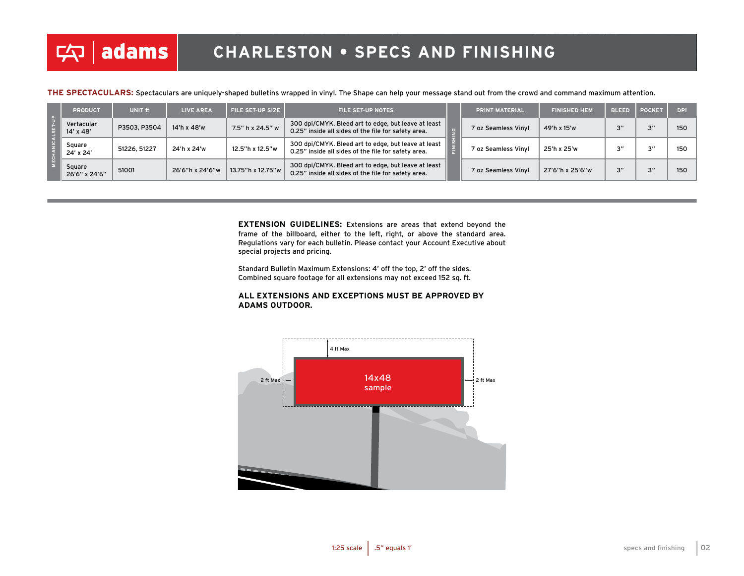**THE SPECTACULARS:** Spectaculars are uniquely-shaped bulletins wrapped in vinyl. The Shape can help your message stand out from the crowd and command maximum attention.

|  | <b>PRODUCT</b>          | UNIT <sub>#</sub> | <b>LIVE AREA</b> | <b>FILE SET-UP SIZE</b> | <b>FILE SET-UP NOTES</b>                                                                                   |  | <b>PRINT MATERIAL</b> | <b>FINISHED HEM</b> | <b>BLEED</b> | <b>POCKET</b> | DPI. |
|--|-------------------------|-------------------|------------------|-------------------------|------------------------------------------------------------------------------------------------------------|--|-----------------------|---------------------|--------------|---------------|------|
|  | Vertacular<br>14' x 48' | P3503, P3504      | 14'h x 48'w      | 7.5" h x 24.5" w        | 300 dpi/CMYK. Bleed art to edge, but leave at least<br>0.25" inside all sides of the file for safety area. |  | 7 oz Seamless Vinyl   | 49'h x 15'w         | יי ה         | 211           | 150  |
|  | Square<br>24' x 24'     | 51226, 51227      | 24'h x 24'w      | 12.5"h x 12.5"w         | 300 dpi/CMYK. Bleed art to edge, but leave at least<br>0.25" inside all sides of the file for safety area. |  | 7 oz Seamless Vinyl   | 25'h x 25'w         | יי           | $\mathbf{v}$  | 150  |
|  | Square<br>26'6" x 24'6" | 51001             | 26'6"h x 24'6"w  | 13.75"h x 12.75"w       | 300 dpi/CMYK. Bleed art to edge, but leave at least<br>0.25" inside all sides of the file for safety area. |  | 7 oz Seamless Vinyl   | 27'6"h x 25'6"w     | ייכ          | 211           | 150  |

**EXTENSION GUIDELINES:** Extensions are areas that extend beyond the frame of the billboard, either to the left, right, or above the standard area. Regulations vary for each bulletin. Please contact your Account Executive about special projects and pricing.

Standard Bulletin Maximum Extensions: 4' off the top, 2' off the sides. Combined square footage for all extensions may not exceed 152 sq. ft.

#### **ALL EXTENSIONS AND EXCEPTIONS MUST BE APPROVED BY ADAMS OUTDOOR.**

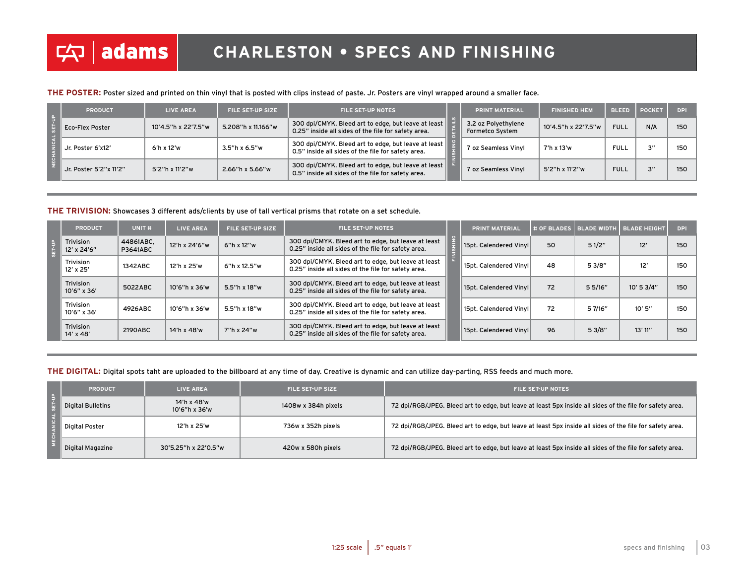#### **THE POSTER:** Poster sized and printed on thin vinyl that is posted with clips instead of paste. Jr. Posters are vinyl wrapped around a smaller face.

|  | <b>PRODUCT</b>         | <b>LIVE AREA</b>    | <b>FILE SET-UP SIZE</b> | <b>FILE SET-UP NOTES</b>                                                                                    | <b>PRINT MATERIAL</b>                  | <b>FINISHED HEM</b> | <b>BLEED</b> | <b>POCKET</b>      | <b>DPI</b> |
|--|------------------------|---------------------|-------------------------|-------------------------------------------------------------------------------------------------------------|----------------------------------------|---------------------|--------------|--------------------|------------|
|  | <b>Eco-Flex Poster</b> | 10'4.5"h x 22'7.5"w | 5.208"h x 11.166"w      | 300 dpi/CMYK. Bleed art to edge, but leave at least<br>0.25" inside all sides of the file for safety area.  | 3.2 oz Polyethylene<br>Formetco System | 10'4.5"h x 22'7.5"w | <b>FULL</b>  | N/A                | 150        |
|  | Jr. Poster 6'x12'      | 6'h x 12'w          | $3.5''h \times 6.5''w$  | 300 dpi/CMYK. Bleed art to edge, but leave at least<br>0.5" inside all sides of the file for safety area.   | 7 oz Seamless Vinyl                    | 7'h x 13'w          | <b>FULL</b>  | $2^{\prime\prime}$ | 150        |
|  | Jr. Poster 5'2"x 11'2" | 5'2"h x 11'2"w      | 2.66"h x 5.66"w         | 300 dpi/CMYK. Bleed art to edge, but leave at least  <br>0.5" inside all sides of the file for safety area. | 7 oz Seamless Vinyl                    | 5'2"h x 11'2"w      | <b>FULL</b>  | 3"                 | 150        |

#### **THE TRIVISION:** Showcases 3 different ads/clients by use of tall vertical prisms that rotate on a set schedule.

| <b>PRODUCT</b>             | UNIT <sub>#</sub>            | <b>LIVE AREA</b> | <b>FILE SET-UP SIZE</b> | <b>FILE SET-UP NOTES</b>                                                                                   | <b>PRINT MATERIAL</b>    |    | # OF BLADES   BLADE WIDTH_ | <b>BLADE HEIGHT</b> | <b>DPI</b> |
|----------------------------|------------------------------|------------------|-------------------------|------------------------------------------------------------------------------------------------------------|--------------------------|----|----------------------------|---------------------|------------|
| Trivision<br>12' x 24'6"   | 44861ABC.<br><b>P3641ABC</b> | 12'h x 24'6"w    | 6"h x 12"w              | 300 dpi/CMYK. Bleed art to edge, but leave at least<br>0.25" inside all sides of the file for safety area. | 15pt. Calendered Vinyl   | 50 | 51/2"                      | 12'                 | 150        |
| Trivision<br>$12'$ x $25'$ | 1342ABC                      | 12'h x 25'w      | 6"h x 12.5"w            | 300 dpi/CMYK. Bleed art to edge, but leave at least<br>0.25" inside all sides of the file for safety area. | 15pt. Calendered Vinyl   | 48 | 53/8"                      | 12'                 | 150        |
| Trivision<br>10'6" x 36'   | 5022ABC                      | 10'6"h x 36'w    | 5.5"h x 18"w            | 300 dpi/CMYK. Bleed art to edge, but leave at least<br>0.25" inside all sides of the file for safety area. | 15pt. Calendered Vinyl   | 72 | 5 5/16"                    | 10' 5 3/4"          | 150        |
| Trivision<br>10'6" x 36'   | 4926ABC                      | 10'6"h x 36'w    | 5.5"h x 18"w            | 300 dpi/CMYK. Bleed art to edge, but leave at least<br>0.25" inside all sides of the file for safety area. | 15pt. Calendered VinvI l | 72 | 5 7/16"                    | 10'5''              | 150        |
| Trivision<br>14' x 48'     | 2190ABC                      | 14'h x 48'w      | 7"h x 24"w              | 300 dpi/CMYK. Bleed art to edge, but leave at least<br>0.25" inside all sides of the file for safety area. | 15pt. Calendered Vinyl   | 96 | 53/8"                      | 13'11''             | 150        |

#### **THE DIGITAL:** Digital spots taht are uploaded to the billboard at any time of day. Creative is dynamic and can utilize day-parting, RSS feeds and much more.

|  | <b>PRODUCT</b>    | <b>LIVE AREA</b>             | <b>FILE SET-UP SIZE</b> | <b>FILE SET-UP NOTES</b>                                                                                 |  |  |  |  |
|--|-------------------|------------------------------|-------------------------|----------------------------------------------------------------------------------------------------------|--|--|--|--|
|  | Digital Bulletins | 14'h x 48'w<br>10'6"h x 36'w | 1408w x 384h pixels     | 72 dpi/RGB/JPEG. Bleed art to edge, but leave at least 5px inside all sides of the file for safety area. |  |  |  |  |
|  | Digital Poster    | 12'h x 25'w                  | 736w x 352h pixels      | 72 dpi/RGB/JPEG. Bleed art to edge, but leave at least 5px inside all sides of the file for safety area. |  |  |  |  |
|  | Digital Magazine  | 30'5.25"h x 22'0.5"w         | 420w x 580h pixels      | 72 dpi/RGB/JPEG. Bleed art to edge, but leave at least 5px inside all sides of the file for safety area. |  |  |  |  |